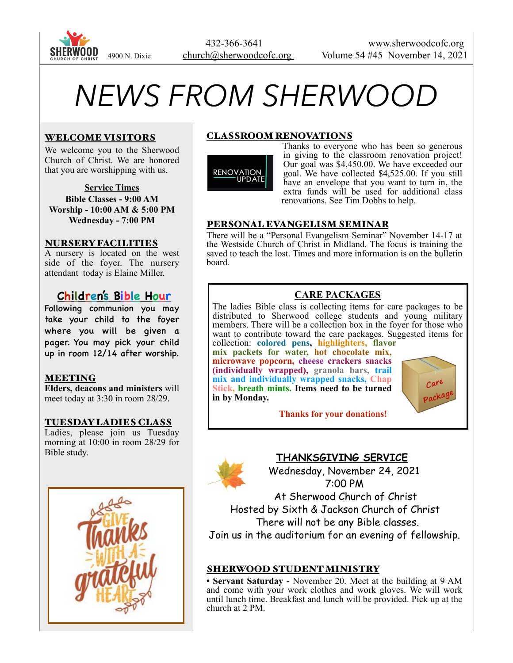

# *NEWS FROM SHERWOOD*

## WELCOME VISITORS

We welcome you to the Sherwood Church of Christ. We are honored that you are worshipping with us.

**Service Times Bible Classes - 9:00 AM Worship - 10:00 AM & 5:00 PM Wednesday - 7:00 PM** 

#### NURSERY FACILITIES

A nursery is located on the west side of the foyer. The nursery attendant today is Elaine Miller.

# **Children's Bible Hour**

Following communion you may take your child to the foyer where you will be given a pager. You may pick your child up in room 12/14 after worship.

## MEETING

**Elders, deacons and ministers** will meet today at 3:30 in room 28/29.

#### TUESDAY LADIES CLASS

Ladies, please join us Tuesday morning at 10:00 in room 28/29 for Bible study.



## CLASSROOM RENOVATIONS



Thanks to everyone who has been so generous in giving to the classroom renovation project! Our goal was \$4,450.00. We have exceeded our goal. We have collected \$4,525.00. If you still have an envelope that you want to turn in, the extra funds will be used for additional class renovations. See Tim Dobbs to help.

## PERSONAL EVANGELISM SEMINAR

There will be a "Personal Evangelism Seminar" November 14-17 at the Westside Church of Christ in Midland. The focus is training the saved to teach the lost. Times and more information is on the bulletin board.

# **CARE PACKAGES**

The ladies Bible class is collecting items for care packages to be distributed to Sherwood college students and young military members. There will be a collection box in the foyer for those who want to contribute toward the care packages. Suggested items for collection: **colored pens, highlighters, flavor** 

**mix packets for water, hot chocolate mix, microwave popcorn, cheese crackers snacks (individually wrapped), granola bars, trail mix and individually wrapped snacks, Chap Stick, breath mints. Items need to be turned in by Monday.**



 **Thanks for your donations!**

# **THANKSGIVING SERVICE**

 Wednesday, November 24, 2021 7:00 PM

 At Sherwood Church of Christ Hosted by Sixth & Jackson Church of Christ There will not be any Bible classes. Join us in the auditorium for an evening of fellowship.

## SHERWOOD STUDENT MINISTRY

**• Servant Saturday -** November 20. Meet at the building at 9 AM and come with your work clothes and work gloves. We will work until lunch time. Breakfast and lunch will be provided. Pick up at the church at 2 PM.